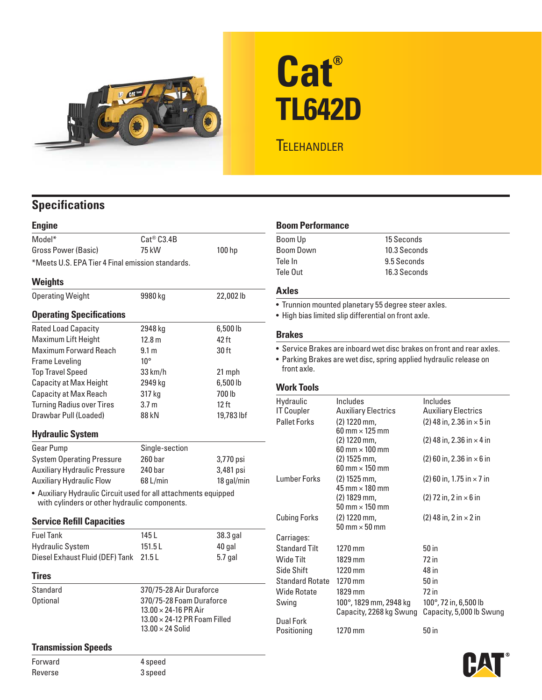

# **Cat® TL642D**

## **TELEHANDLER**

### **Specifications**

| <b>Engine</b>                                                                                                    |                                                                 |            |  |  |
|------------------------------------------------------------------------------------------------------------------|-----------------------------------------------------------------|------------|--|--|
| Model*                                                                                                           | Cat <sup>®</sup> C3.4B                                          |            |  |  |
| <b>Gross Power (Basic)</b>                                                                                       | 75 kW                                                           | 100 hp     |  |  |
| *Meets U.S. EPA Tier 4 Final emission standards.                                                                 |                                                                 |            |  |  |
| <b>Weights</b>                                                                                                   |                                                                 |            |  |  |
| <b>Operating Weight</b>                                                                                          | 9980 kg                                                         | 22,002 lb  |  |  |
| <b>Operating Specifications</b>                                                                                  |                                                                 |            |  |  |
| <b>Rated Load Capacity</b>                                                                                       | 2948 kg                                                         | 6,500 lb   |  |  |
| Maximum Lift Height                                                                                              | 12.8 m                                                          | 42 ft      |  |  |
| <b>Maximum Forward Reach</b>                                                                                     | 9.1 <sub>m</sub>                                                | 30 ft      |  |  |
| Frame Leveling                                                                                                   | $10^{\circ}$                                                    |            |  |  |
| <b>Top Travel Speed</b>                                                                                          | 33 km/h                                                         | 21 mph     |  |  |
| <b>Capacity at Max Height</b>                                                                                    | 2949 kg                                                         | 6,500 lb   |  |  |
| <b>Capacity at Max Reach</b>                                                                                     | 317 kg                                                          | 700 lb     |  |  |
| <b>Turning Radius over Tires</b>                                                                                 | 3.7 <sub>m</sub>                                                | $12$ ft    |  |  |
| Drawbar Pull (Loaded)                                                                                            | 88 kN                                                           | 19,783 lbf |  |  |
| <b>Hydraulic System</b>                                                                                          |                                                                 |            |  |  |
| Gear Pump                                                                                                        | Single-section                                                  |            |  |  |
| <b>System Operating Pressure</b>                                                                                 | 260 bar                                                         | 3,770 psi  |  |  |
| <b>Auxiliary Hydraulic Pressure</b>                                                                              | 240 bar                                                         | 3,481 psi  |  |  |
| <b>Auxiliary Hydraulic Flow</b>                                                                                  | 68 L/min                                                        | 18 gal/min |  |  |
| • Auxiliary Hydraulic Circuit used for all attachments equipped<br>with cylinders or other hydraulic components. |                                                                 |            |  |  |
| <b>Service Refill Capacities</b>                                                                                 |                                                                 |            |  |  |
| <b>Fuel Tank</b>                                                                                                 | 145 L                                                           | 38.3 gal   |  |  |
| <b>Hydraulic System</b>                                                                                          | 151.5L                                                          | 40 gal     |  |  |
| Diesel Exhaust Fluid (DEF) Tank                                                                                  | 21.5L                                                           | 5.7 gal    |  |  |
| <b>Tires</b>                                                                                                     |                                                                 |            |  |  |
| Standard                                                                                                         | 370/75-28 Air Duraforce                                         |            |  |  |
| <b>Optional</b>                                                                                                  | 370/75-28 Foam Duraforce<br>$13.00 \times 24 - 16$ PR Air       |            |  |  |
|                                                                                                                  |                                                                 |            |  |  |
|                                                                                                                  | $13.00 \times 24$ -12 PR Foam Filled<br>$13.00 \times 24$ Solid |            |  |  |
|                                                                                                                  |                                                                 |            |  |  |
| <b>Transmission Speeds</b>                                                                                       |                                                                 |            |  |  |

#### **Boom Performance**

| Boom Up   | 15 Seconds   |
|-----------|--------------|
| Boom Down | 10.3 Seconds |
| Tele In   | 9.5 Seconds  |
| Tele Out  | 16.3 Seconds |
|           |              |

#### **Axles**

• Trunnion mounted planetary 55 degree steer axles.

• High bias limited slip differential on front axle.

#### **Brakes**

• Service Brakes are inboard wet disc brakes on front and rear axles.

• Parking Brakes are wet disc, spring applied hydraulic release on front axle.

#### **Work Tools**

| Hydraulic                       | Includes                                                | Includes                                                    |
|---------------------------------|---------------------------------------------------------|-------------------------------------------------------------|
| <b>IT Coupler</b>               | <b>Auxiliary Electrics</b>                              | <b>Auxiliary Electrics</b>                                  |
| <b>Pallet Forks</b>             | $(2)$ 1220 mm,<br>$60 \text{ mm} \times 125 \text{ mm}$ | $(2)$ 48 in, 2.36 in $\times$ 5 in                          |
|                                 | $(2)$ 1220 mm,<br>$60 \text{ mm} \times 100 \text{ mm}$ | $(2)$ 48 in, 2.36 in $\times$ 4 in                          |
|                                 | $(2)$ 1525 mm,<br>$60 \text{ mm} \times 150 \text{ mm}$ | $(2)$ 60 in, 2.36 in $\times$ 6 in                          |
| <b>Lumber Forks</b>             | $(2)$ 1525 mm,<br>$45 \text{ mm} \times 180 \text{ mm}$ | $(2)$ 60 in, 1.75 in $\times$ 7 in                          |
|                                 | $(2)$ 1829 mm,<br>$50 \text{ mm} \times 150 \text{ mm}$ | $(2)$ 72 in, 2 in $\times$ 6 in                             |
| <b>Cubing Forks</b>             | $(2)$ 1220 mm,<br>$50 \text{ mm} \times 50 \text{ mm}$  | $(2)$ 48 in, 2 in $\times$ 2 in                             |
| Carriages:                      |                                                         |                                                             |
| <b>Standard Tilt</b>            | 1270 mm                                                 | 50 <sub>in</sub>                                            |
| Wide Tilt                       | 1829 mm                                                 | 72 in                                                       |
| Side Shift                      | $1220$ mm                                               | 48 in                                                       |
| <b>Standard Rotate</b>          | 1270 mm                                                 | 50 in                                                       |
| <b>Wide Rotate</b>              | 1829 mm                                                 | 72 in                                                       |
| Swing                           | 100°, 1829 mm, 2948 kg<br>Capacity, 2268 kg Swung       | $100^{\circ}$ , 72 in, 6,500 lb<br>Capacity, 5,000 lb Swung |
| <b>Dual Fork</b><br>Positioning | 1270 mm                                                 | 50 in                                                       |



Forward 4 speed Reverse 3 speed